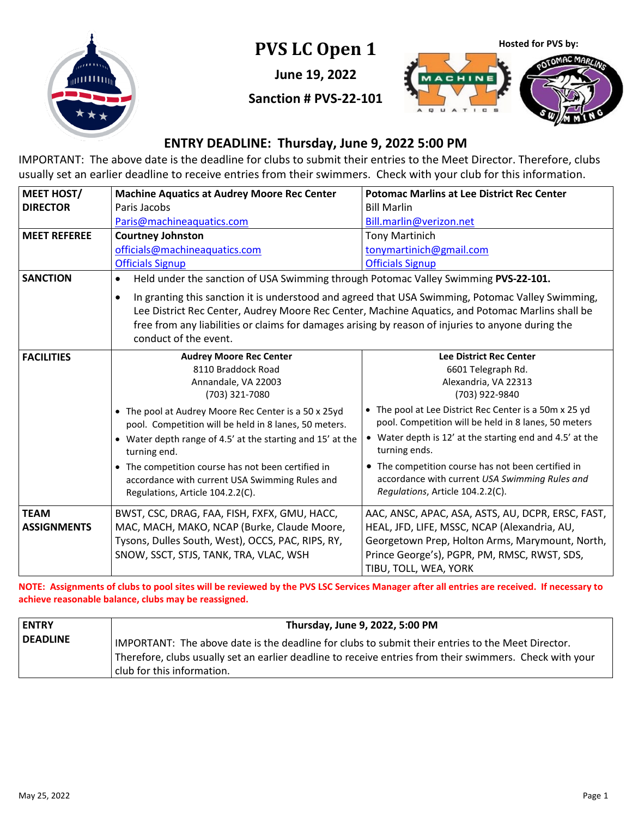

**PVS LC Open 1**

**June 19, 2022**

**Sanction # PVS-22-101**



#### **ENTRY DEADLINE: Thursday, June 9, 2022 5:00 PM**

IMPORTANT: The above date is the deadline for clubs to submit their entries to the Meet Director. Therefore, clubs usually set an earlier deadline to receive entries from their swimmers. Check with your club for this information.

| <b>MEET HOST/</b>                 | <b>Machine Aquatics at Audrey Moore Rec Center</b>                                                                                                                                                                                                                                                                                                | <b>Potomac Marlins at Lee District Rec Center</b>                                                                                                                                                                                                                                                                                       |  |
|-----------------------------------|---------------------------------------------------------------------------------------------------------------------------------------------------------------------------------------------------------------------------------------------------------------------------------------------------------------------------------------------------|-----------------------------------------------------------------------------------------------------------------------------------------------------------------------------------------------------------------------------------------------------------------------------------------------------------------------------------------|--|
| <b>DIRECTOR</b>                   | Paris Jacobs                                                                                                                                                                                                                                                                                                                                      | <b>Bill Marlin</b>                                                                                                                                                                                                                                                                                                                      |  |
|                                   | Paris@machineaquatics.com                                                                                                                                                                                                                                                                                                                         | Bill.marlin@verizon.net                                                                                                                                                                                                                                                                                                                 |  |
| <b>MEET REFEREE</b>               | <b>Courtney Johnston</b>                                                                                                                                                                                                                                                                                                                          | <b>Tony Martinich</b>                                                                                                                                                                                                                                                                                                                   |  |
|                                   | officials@machineaquatics.com                                                                                                                                                                                                                                                                                                                     | tonymartinich@gmail.com                                                                                                                                                                                                                                                                                                                 |  |
|                                   | <b>Officials Signup</b>                                                                                                                                                                                                                                                                                                                           | <b>Officials Signup</b>                                                                                                                                                                                                                                                                                                                 |  |
| <b>SANCTION</b>                   | $\bullet$                                                                                                                                                                                                                                                                                                                                         | Held under the sanction of USA Swimming through Potomac Valley Swimming PVS-22-101.                                                                                                                                                                                                                                                     |  |
|                                   | In granting this sanction it is understood and agreed that USA Swimming, Potomac Valley Swimming,<br>$\bullet$<br>Lee District Rec Center, Audrey Moore Rec Center, Machine Aquatics, and Potomac Marlins shall be<br>free from any liabilities or claims for damages arising by reason of injuries to anyone during the<br>conduct of the event. |                                                                                                                                                                                                                                                                                                                                         |  |
| <b>FACILITIES</b>                 | <b>Audrey Moore Rec Center</b><br>8110 Braddock Road<br>Annandale, VA 22003<br>(703) 321-7080                                                                                                                                                                                                                                                     | <b>Lee District Rec Center</b><br>6601 Telegraph Rd.<br>Alexandria, VA 22313<br>(703) 922-9840                                                                                                                                                                                                                                          |  |
|                                   | • The pool at Audrey Moore Rec Center is a 50 x 25yd<br>pool. Competition will be held in 8 lanes, 50 meters.<br>• Water depth range of 4.5' at the starting and 15' at the<br>turning end.<br>• The competition course has not been certified in<br>accordance with current USA Swimming Rules and<br>Regulations, Article 104.2.2(C).           | • The pool at Lee District Rec Center is a 50m x 25 yd<br>pool. Competition will be held in 8 lanes, 50 meters<br>• Water depth is 12' at the starting end and 4.5' at the<br>turning ends.<br>• The competition course has not been certified in<br>accordance with current USA Swimming Rules and<br>Regulations, Article 104.2.2(C). |  |
| <b>TEAM</b><br><b>ASSIGNMENTS</b> | BWST, CSC, DRAG, FAA, FISH, FXFX, GMU, HACC,<br>MAC, MACH, MAKO, NCAP (Burke, Claude Moore,<br>Tysons, Dulles South, West), OCCS, PAC, RIPS, RY,<br>SNOW, SSCT, STJS, TANK, TRA, VLAC, WSH                                                                                                                                                        | AAC, ANSC, APAC, ASA, ASTS, AU, DCPR, ERSC, FAST,<br>HEAL, JFD, LIFE, MSSC, NCAP (Alexandria, AU,<br>Georgetown Prep, Holton Arms, Marymount, North,<br>Prince George's), PGPR, PM, RMSC, RWST, SDS,<br>TIBU, TOLL, WEA, YORK                                                                                                           |  |

**NOTE: Assignments of clubs to pool sites will be reviewed by the PVS LSC Services Manager after all entries are received. If necessary to achieve reasonable balance, clubs may be reassigned.**

| <b>LENTRY</b>   | Thursday, June 9, 2022, 5:00 PM                                                                                                                                                                                                             |
|-----------------|---------------------------------------------------------------------------------------------------------------------------------------------------------------------------------------------------------------------------------------------|
| <b>DEADLINE</b> | IMPORTANT: The above date is the deadline for clubs to submit their entries to the Meet Director.<br>Therefore, clubs usually set an earlier deadline to receive entries from their swimmers. Check with your<br>club for this information. |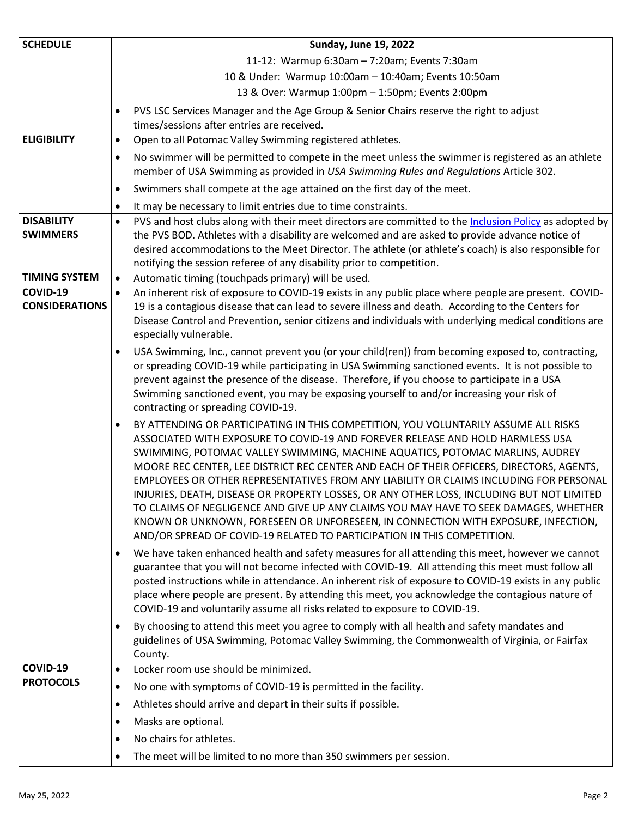| <b>SCHEDULE</b>                      | <b>Sunday, June 19, 2022</b>                                                                                                                                                                                                                                                                                                                                                                                                                                                                                                                                                                                                                                                                                                                                                                                  |
|--------------------------------------|---------------------------------------------------------------------------------------------------------------------------------------------------------------------------------------------------------------------------------------------------------------------------------------------------------------------------------------------------------------------------------------------------------------------------------------------------------------------------------------------------------------------------------------------------------------------------------------------------------------------------------------------------------------------------------------------------------------------------------------------------------------------------------------------------------------|
|                                      | 11-12: Warmup 6:30am - 7:20am; Events 7:30am                                                                                                                                                                                                                                                                                                                                                                                                                                                                                                                                                                                                                                                                                                                                                                  |
|                                      | 10 & Under: Warmup 10:00am - 10:40am; Events 10:50am                                                                                                                                                                                                                                                                                                                                                                                                                                                                                                                                                                                                                                                                                                                                                          |
|                                      | 13 & Over: Warmup 1:00pm - 1:50pm; Events 2:00pm                                                                                                                                                                                                                                                                                                                                                                                                                                                                                                                                                                                                                                                                                                                                                              |
|                                      | PVS LSC Services Manager and the Age Group & Senior Chairs reserve the right to adjust<br>$\bullet$<br>times/sessions after entries are received.                                                                                                                                                                                                                                                                                                                                                                                                                                                                                                                                                                                                                                                             |
| <b>ELIGIBILITY</b>                   | Open to all Potomac Valley Swimming registered athletes.<br>$\bullet$                                                                                                                                                                                                                                                                                                                                                                                                                                                                                                                                                                                                                                                                                                                                         |
|                                      | No swimmer will be permitted to compete in the meet unless the swimmer is registered as an athlete<br>$\bullet$<br>member of USA Swimming as provided in USA Swimming Rules and Regulations Article 302.                                                                                                                                                                                                                                                                                                                                                                                                                                                                                                                                                                                                      |
|                                      | Swimmers shall compete at the age attained on the first day of the meet.<br>$\bullet$                                                                                                                                                                                                                                                                                                                                                                                                                                                                                                                                                                                                                                                                                                                         |
|                                      | It may be necessary to limit entries due to time constraints.<br>$\bullet$                                                                                                                                                                                                                                                                                                                                                                                                                                                                                                                                                                                                                                                                                                                                    |
| <b>DISABILITY</b><br><b>SWIMMERS</b> | PVS and host clubs along with their meet directors are committed to the Inclusion Policy as adopted by<br>$\bullet$<br>the PVS BOD. Athletes with a disability are welcomed and are asked to provide advance notice of<br>desired accommodations to the Meet Director. The athlete (or athlete's coach) is also responsible for                                                                                                                                                                                                                                                                                                                                                                                                                                                                               |
|                                      | notifying the session referee of any disability prior to competition.                                                                                                                                                                                                                                                                                                                                                                                                                                                                                                                                                                                                                                                                                                                                         |
| <b>TIMING SYSTEM</b>                 | Automatic timing (touchpads primary) will be used.<br>$\bullet$                                                                                                                                                                                                                                                                                                                                                                                                                                                                                                                                                                                                                                                                                                                                               |
| COVID-19<br><b>CONSIDERATIONS</b>    | An inherent risk of exposure to COVID-19 exists in any public place where people are present. COVID-<br>$\bullet$<br>19 is a contagious disease that can lead to severe illness and death. According to the Centers for<br>Disease Control and Prevention, senior citizens and individuals with underlying medical conditions are<br>especially vulnerable.                                                                                                                                                                                                                                                                                                                                                                                                                                                   |
|                                      | USA Swimming, Inc., cannot prevent you (or your child(ren)) from becoming exposed to, contracting,<br>$\bullet$<br>or spreading COVID-19 while participating in USA Swimming sanctioned events. It is not possible to<br>prevent against the presence of the disease. Therefore, if you choose to participate in a USA<br>Swimming sanctioned event, you may be exposing yourself to and/or increasing your risk of<br>contracting or spreading COVID-19.                                                                                                                                                                                                                                                                                                                                                     |
|                                      | BY ATTENDING OR PARTICIPATING IN THIS COMPETITION, YOU VOLUNTARILY ASSUME ALL RISKS<br>$\bullet$<br>ASSOCIATED WITH EXPOSURE TO COVID-19 AND FOREVER RELEASE AND HOLD HARMLESS USA<br>SWIMMING, POTOMAC VALLEY SWIMMING, MACHINE AQUATICS, POTOMAC MARLINS, AUDREY<br>MOORE REC CENTER, LEE DISTRICT REC CENTER AND EACH OF THEIR OFFICERS, DIRECTORS, AGENTS,<br>EMPLOYEES OR OTHER REPRESENTATIVES FROM ANY LIABILITY OR CLAIMS INCLUDING FOR PERSONAL<br>INJURIES, DEATH, DISEASE OR PROPERTY LOSSES, OR ANY OTHER LOSS, INCLUDING BUT NOT LIMITED<br>TO CLAIMS OF NEGLIGENCE AND GIVE UP ANY CLAIMS YOU MAY HAVE TO SEEK DAMAGES, WHETHER<br>KNOWN OR UNKNOWN, FORESEEN OR UNFORESEEN, IN CONNECTION WITH EXPOSURE, INFECTION,<br>AND/OR SPREAD OF COVID-19 RELATED TO PARTICIPATION IN THIS COMPETITION. |
|                                      | We have taken enhanced health and safety measures for all attending this meet, however we cannot<br>$\bullet$<br>guarantee that you will not become infected with COVID-19. All attending this meet must follow all<br>posted instructions while in attendance. An inherent risk of exposure to COVID-19 exists in any public<br>place where people are present. By attending this meet, you acknowledge the contagious nature of<br>COVID-19 and voluntarily assume all risks related to exposure to COVID-19.                                                                                                                                                                                                                                                                                               |
|                                      | By choosing to attend this meet you agree to comply with all health and safety mandates and<br>$\bullet$<br>guidelines of USA Swimming, Potomac Valley Swimming, the Commonwealth of Virginia, or Fairfax<br>County.                                                                                                                                                                                                                                                                                                                                                                                                                                                                                                                                                                                          |
| COVID-19                             | Locker room use should be minimized.<br>$\bullet$                                                                                                                                                                                                                                                                                                                                                                                                                                                                                                                                                                                                                                                                                                                                                             |
| <b>PROTOCOLS</b>                     | No one with symptoms of COVID-19 is permitted in the facility.<br>$\bullet$                                                                                                                                                                                                                                                                                                                                                                                                                                                                                                                                                                                                                                                                                                                                   |
|                                      | Athletes should arrive and depart in their suits if possible.<br>$\bullet$                                                                                                                                                                                                                                                                                                                                                                                                                                                                                                                                                                                                                                                                                                                                    |
|                                      | Masks are optional.<br>$\bullet$                                                                                                                                                                                                                                                                                                                                                                                                                                                                                                                                                                                                                                                                                                                                                                              |
|                                      | No chairs for athletes.<br>$\bullet$                                                                                                                                                                                                                                                                                                                                                                                                                                                                                                                                                                                                                                                                                                                                                                          |
|                                      | The meet will be limited to no more than 350 swimmers per session.<br>$\bullet$                                                                                                                                                                                                                                                                                                                                                                                                                                                                                                                                                                                                                                                                                                                               |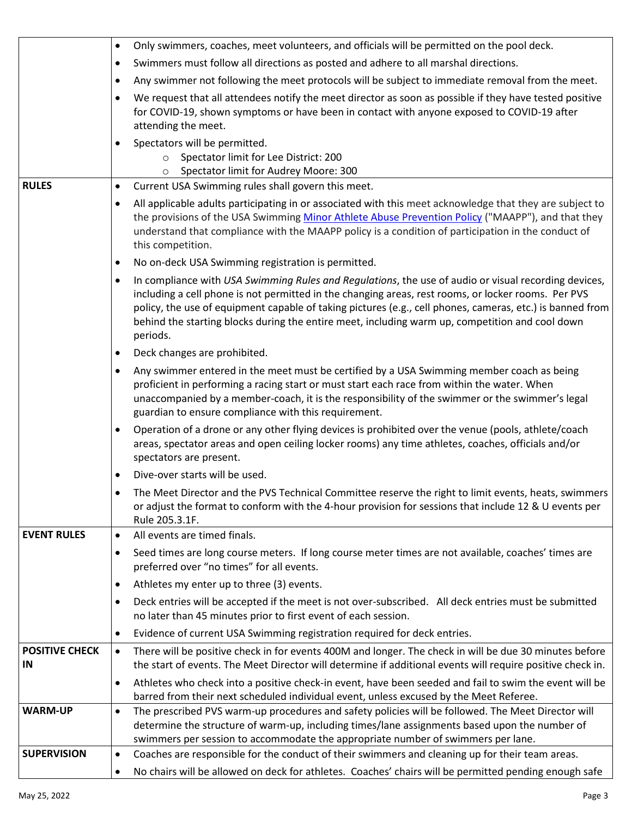|                             | Only swimmers, coaches, meet volunteers, and officials will be permitted on the pool deck.<br>$\bullet$                                                                                                                                                                                                                                                                                                                                              |
|-----------------------------|------------------------------------------------------------------------------------------------------------------------------------------------------------------------------------------------------------------------------------------------------------------------------------------------------------------------------------------------------------------------------------------------------------------------------------------------------|
|                             | Swimmers must follow all directions as posted and adhere to all marshal directions.<br>$\bullet$                                                                                                                                                                                                                                                                                                                                                     |
|                             | Any swimmer not following the meet protocols will be subject to immediate removal from the meet.<br>٠                                                                                                                                                                                                                                                                                                                                                |
|                             | We request that all attendees notify the meet director as soon as possible if they have tested positive<br>$\bullet$<br>for COVID-19, shown symptoms or have been in contact with anyone exposed to COVID-19 after<br>attending the meet.                                                                                                                                                                                                            |
| <b>RULES</b>                | Spectators will be permitted.<br>Spectator limit for Lee District: 200<br>$\circ$<br>Spectator limit for Audrey Moore: 300<br>Current USA Swimming rules shall govern this meet.<br>$\bullet$                                                                                                                                                                                                                                                        |
|                             | All applicable adults participating in or associated with this meet acknowledge that they are subject to<br>$\bullet$<br>the provisions of the USA Swimming Minor Athlete Abuse Prevention Policy ("MAAPP"), and that they<br>understand that compliance with the MAAPP policy is a condition of participation in the conduct of<br>this competition.                                                                                                |
|                             | No on-deck USA Swimming registration is permitted.<br>$\bullet$                                                                                                                                                                                                                                                                                                                                                                                      |
|                             | In compliance with USA Swimming Rules and Regulations, the use of audio or visual recording devices,<br>$\bullet$<br>including a cell phone is not permitted in the changing areas, rest rooms, or locker rooms. Per PVS<br>policy, the use of equipment capable of taking pictures (e.g., cell phones, cameras, etc.) is banned from<br>behind the starting blocks during the entire meet, including warm up, competition and cool down<br>periods. |
|                             | Deck changes are prohibited.<br>٠                                                                                                                                                                                                                                                                                                                                                                                                                    |
|                             | Any swimmer entered in the meet must be certified by a USA Swimming member coach as being<br>$\bullet$<br>proficient in performing a racing start or must start each race from within the water. When<br>unaccompanied by a member-coach, it is the responsibility of the swimmer or the swimmer's legal<br>guardian to ensure compliance with this requirement.                                                                                     |
|                             | Operation of a drone or any other flying devices is prohibited over the venue (pools, athlete/coach<br>٠<br>areas, spectator areas and open ceiling locker rooms) any time athletes, coaches, officials and/or<br>spectators are present.                                                                                                                                                                                                            |
|                             | Dive-over starts will be used.<br>٠                                                                                                                                                                                                                                                                                                                                                                                                                  |
|                             | The Meet Director and the PVS Technical Committee reserve the right to limit events, heats, swimmers<br>or adjust the format to conform with the 4-hour provision for sessions that include 12 & U events per<br>Rule 205.3.1F.                                                                                                                                                                                                                      |
| <b>EVENT RULES</b>          | All events are timed finals.<br>$\bullet$                                                                                                                                                                                                                                                                                                                                                                                                            |
|                             | Seed times are long course meters. If long course meter times are not available, coaches' times are<br>٠<br>preferred over "no times" for all events.                                                                                                                                                                                                                                                                                                |
|                             | Athletes my enter up to three (3) events.<br>$\bullet$                                                                                                                                                                                                                                                                                                                                                                                               |
|                             | Deck entries will be accepted if the meet is not over-subscribed. All deck entries must be submitted<br>$\bullet$<br>no later than 45 minutes prior to first event of each session.                                                                                                                                                                                                                                                                  |
|                             | Evidence of current USA Swimming registration required for deck entries.<br>٠                                                                                                                                                                                                                                                                                                                                                                        |
| <b>POSITIVE CHECK</b><br>IN | There will be positive check in for events 400M and longer. The check in will be due 30 minutes before<br>$\bullet$<br>the start of events. The Meet Director will determine if additional events will require positive check in.                                                                                                                                                                                                                    |
|                             | Athletes who check into a positive check-in event, have been seeded and fail to swim the event will be<br>٠<br>barred from their next scheduled individual event, unless excused by the Meet Referee.                                                                                                                                                                                                                                                |
| <b>WARM-UP</b>              | The prescribed PVS warm-up procedures and safety policies will be followed. The Meet Director will<br>$\bullet$<br>determine the structure of warm-up, including times/lane assignments based upon the number of<br>swimmers per session to accommodate the appropriate number of swimmers per lane.                                                                                                                                                 |
| <b>SUPERVISION</b>          | Coaches are responsible for the conduct of their swimmers and cleaning up for their team areas.<br>$\bullet$                                                                                                                                                                                                                                                                                                                                         |
|                             | No chairs will be allowed on deck for athletes. Coaches' chairs will be permitted pending enough safe<br>٠                                                                                                                                                                                                                                                                                                                                           |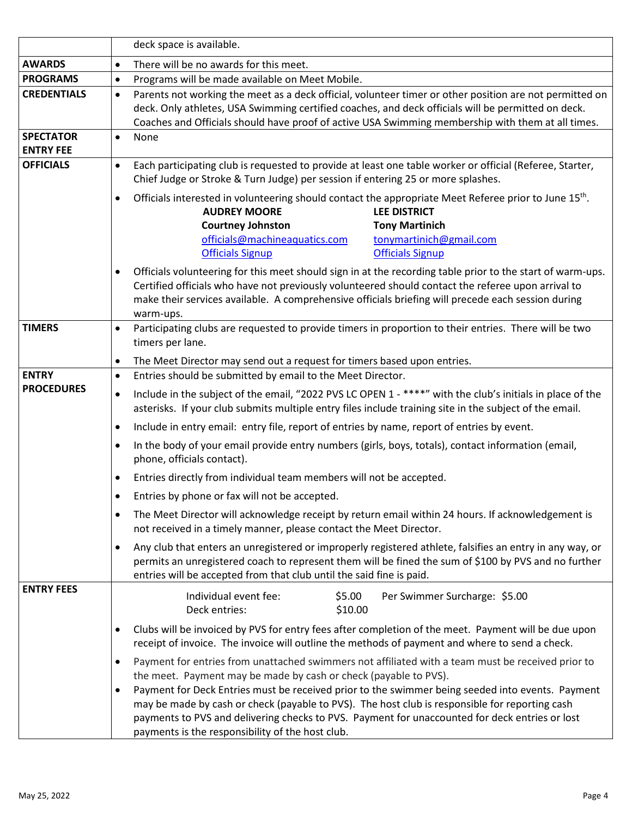|                                      | deck space is available.                                                                                                                                                                                                                                                                                                                                                                                                                                                                                                                                    |  |  |
|--------------------------------------|-------------------------------------------------------------------------------------------------------------------------------------------------------------------------------------------------------------------------------------------------------------------------------------------------------------------------------------------------------------------------------------------------------------------------------------------------------------------------------------------------------------------------------------------------------------|--|--|
| <b>AWARDS</b>                        | There will be no awards for this meet.<br>$\bullet$                                                                                                                                                                                                                                                                                                                                                                                                                                                                                                         |  |  |
| <b>PROGRAMS</b>                      | Programs will be made available on Meet Mobile.<br>$\bullet$                                                                                                                                                                                                                                                                                                                                                                                                                                                                                                |  |  |
| <b>CREDENTIALS</b>                   | Parents not working the meet as a deck official, volunteer timer or other position are not permitted on<br>deck. Only athletes, USA Swimming certified coaches, and deck officials will be permitted on deck.<br>Coaches and Officials should have proof of active USA Swimming membership with them at all times.                                                                                                                                                                                                                                          |  |  |
| <b>SPECTATOR</b><br><b>ENTRY FEE</b> | None                                                                                                                                                                                                                                                                                                                                                                                                                                                                                                                                                        |  |  |
| <b>OFFICIALS</b>                     | Each participating club is requested to provide at least one table worker or official (Referee, Starter,<br>$\bullet$<br>Chief Judge or Stroke & Turn Judge) per session if entering 25 or more splashes.                                                                                                                                                                                                                                                                                                                                                   |  |  |
|                                      | Officials interested in volunteering should contact the appropriate Meet Referee prior to June 15 <sup>th</sup> .<br>$\bullet$<br><b>AUDREY MOORE</b><br><b>LEE DISTRICT</b><br><b>Courtney Johnston</b><br><b>Tony Martinich</b><br>officials@machineaquatics.com<br>tonymartinich@gmail.com<br><b>Officials Signup</b><br><b>Officials Signup</b>                                                                                                                                                                                                         |  |  |
|                                      | Officials volunteering for this meet should sign in at the recording table prior to the start of warm-ups.<br>$\bullet$<br>Certified officials who have not previously volunteered should contact the referee upon arrival to<br>make their services available. A comprehensive officials briefing will precede each session during<br>warm-ups.                                                                                                                                                                                                            |  |  |
| <b>TIMERS</b>                        | Participating clubs are requested to provide timers in proportion to their entries. There will be two<br>timers per lane.                                                                                                                                                                                                                                                                                                                                                                                                                                   |  |  |
|                                      | The Meet Director may send out a request for timers based upon entries.<br>$\bullet$                                                                                                                                                                                                                                                                                                                                                                                                                                                                        |  |  |
| <b>ENTRY</b>                         | Entries should be submitted by email to the Meet Director.<br>$\bullet$                                                                                                                                                                                                                                                                                                                                                                                                                                                                                     |  |  |
| <b>PROCEDURES</b>                    | Include in the subject of the email, "2022 PVS LC OPEN 1 - ****" with the club's initials in place of the<br>$\bullet$<br>asterisks. If your club submits multiple entry files include training site in the subject of the email.                                                                                                                                                                                                                                                                                                                           |  |  |
|                                      | Include in entry email: entry file, report of entries by name, report of entries by event.<br>$\bullet$                                                                                                                                                                                                                                                                                                                                                                                                                                                     |  |  |
|                                      | In the body of your email provide entry numbers (girls, boys, totals), contact information (email,<br>$\bullet$<br>phone, officials contact).                                                                                                                                                                                                                                                                                                                                                                                                               |  |  |
|                                      | Entries directly from individual team members will not be accepted.<br>$\bullet$                                                                                                                                                                                                                                                                                                                                                                                                                                                                            |  |  |
|                                      | Entries by phone or fax will not be accepted.                                                                                                                                                                                                                                                                                                                                                                                                                                                                                                               |  |  |
|                                      | The Meet Director will acknowledge receipt by return email within 24 hours. If acknowledgement is<br>$\bullet$<br>not received in a timely manner, please contact the Meet Director.                                                                                                                                                                                                                                                                                                                                                                        |  |  |
|                                      | Any club that enters an unregistered or improperly registered athlete, falsifies an entry in any way, or<br>$\bullet$<br>permits an unregistered coach to represent them will be fined the sum of \$100 by PVS and no further<br>entries will be accepted from that club until the said fine is paid.                                                                                                                                                                                                                                                       |  |  |
| <b>ENTRY FEES</b>                    | Individual event fee:<br>Per Swimmer Surcharge: \$5.00<br>\$5.00<br>Deck entries:<br>\$10.00                                                                                                                                                                                                                                                                                                                                                                                                                                                                |  |  |
|                                      | Clubs will be invoiced by PVS for entry fees after completion of the meet. Payment will be due upon<br>$\bullet$<br>receipt of invoice. The invoice will outline the methods of payment and where to send a check.                                                                                                                                                                                                                                                                                                                                          |  |  |
|                                      | Payment for entries from unattached swimmers not affiliated with a team must be received prior to<br>$\bullet$<br>the meet. Payment may be made by cash or check (payable to PVS).<br>Payment for Deck Entries must be received prior to the swimmer being seeded into events. Payment<br>$\bullet$<br>may be made by cash or check (payable to PVS). The host club is responsible for reporting cash<br>payments to PVS and delivering checks to PVS. Payment for unaccounted for deck entries or lost<br>payments is the responsibility of the host club. |  |  |